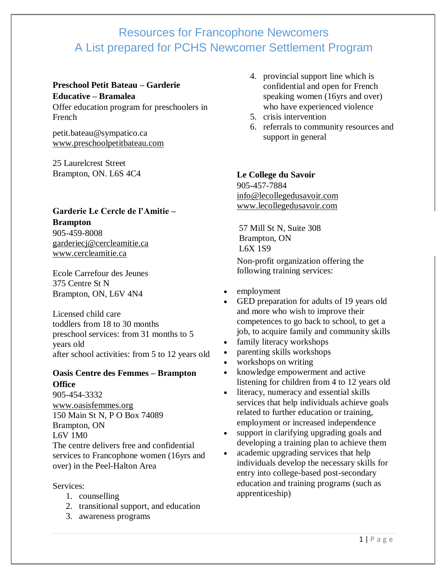## **Preschool Petit Bateau – Garderie Educative – Bramalea**

Offer education program for preschoolers in French

[petit.bateau@sympatico.ca](mailto:petit.bateau@sympatico.ca) [www.preschoolpetitbateau.com](http://www.preschoolpetitbateau.com/)

25 Laurelcrest Street Brampton, ON. L6S 4C4

## **Garderie Le Cercle de l'Amitie – Brampton**

905-459-8008 [garderiecj@cercleamitie.ca](mailto:garderiecj@cercleamitie.ca) [www.cercleamitie.ca](http://www.cercleamitie.ca/)

Ecole Carrefour des Jeunes 375 Centre St N Brampton, ON, L6V 4N4

Licensed child care toddlers from 18 to 30 months preschool services: from 31 months to 5 years old after school activities: from 5 to 12 years old

#### **Oasis Centre des Femmes – Brampton Office**

905-454-3332 [www.oasisfemmes.org](http://www.oasisfemmes.org/) 150 Main St N, P O Box 74089 Brampton, ON L6V 1M0 The centre delivers free and confidential

services to Francophone women (16yrs and over) in the Peel-Halton Area

#### Services:

- 1. counselling
- 2. transitional support, and education
- 3. awareness programs
- 4. provincial support line which is confidential and open for French speaking women (16yrs and over) who have experienced violence
- 5. crisis intervention
- 6. referrals to community resources and support in general

## **Le College du Savoir**

905-457-7884 [info@lecollegedusavoir.com](mailto:info@lecollegedusavoir.com) [www.lecollegedusavoir.com](http://www.lecollegedusavoir.com/)

57 Mill St N, Suite 308 Brampton, ON L6X 1S9 Non-profit organization offering the following training services:

- employment
- GED preparation for adults of 19 years old and more who wish to improve their competences to go back to school, to get a job, to acquire family and community skills
- family literacy workshops
- parenting skills workshops
- workshops on writing
- knowledge empowerment and active listening for children from 4 to 12 years old
- literacy, numeracy and essential skills services that help individuals achieve goals related to further education or training, employment or increased independence
- support in clarifying upgrading goals and developing a training plan to achieve them
- academic upgrading services that help individuals develop the necessary skills for entry into college-based post-secondary education and training programs (such as apprenticeship)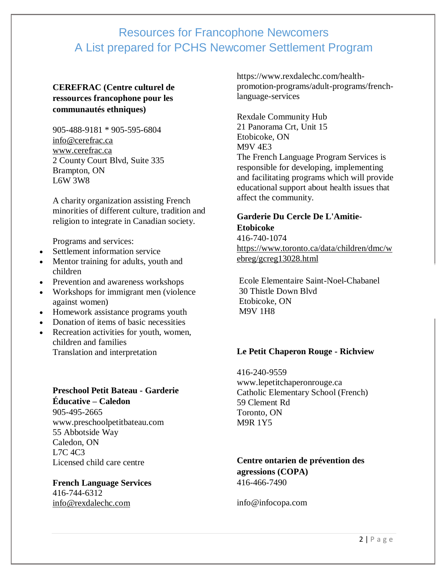#### **CEREFRAC (Centre culturel de ressources francophone pour les communautés ethniques)**

905-488-9181 \* 905-595-6804 [info@cerefrac.ca](mailto:info@cerefrac.ca) [www.cerefrac.ca](http://www.cerefrac.ca/) 2 County Court Blvd, Suite 335 Brampton, ON L6W 3W8

A charity organization assisting French minorities of different culture, tradition and religion to integrate in Canadian society.

Programs and services:

- Settlement information service
- Mentor training for adults, youth and children
- Prevention and awareness workshops
- Workshops for immigrant men (violence against women)
- Homework assistance programs youth
- Donation of items of basic necessities
- Recreation activities for youth, women, children and families Translation and interpretation

#### **Preschool Petit Bateau - Garderie Éducative – Caledon**

905-495-2665 [www.preschoolpetitbateau.com](http://www.preschoolpetitbateau.com/) 55 Abbotside Way Caledon, ON L7C 4C3 Licensed child care centre

**French Language Services** 416-744-6312 [info@rexdalechc.com](mailto:info@rexdalechc.com)

https://www.rexdalechc.com/healthpromotion-programs/adult-programs/frenchlanguage-services

Rexdale Community Hub 21 Panorama Crt, Unit 15 Etobicoke, ON M9V 4E3 The French Language Program Services is responsible for developing, implementing and facilitating programs which will provide educational support about health issues that affect the community.

## **Garderie Du Cercle De L'Amitie-Etobicoke**

416-740-1074 [https://www.toronto.ca/data/children/dmc/w](https://www.toronto.ca/data/children/dmc/webreg/gcreg13028.html) [ebreg/gcreg13028.html](https://www.toronto.ca/data/children/dmc/webreg/gcreg13028.html)

Ecole Elementaire Saint-Noel-Chabanel 30 Thistle Down Blvd Etobicoke, ON M9V 1H8

#### **Le Petit Chaperon Rouge - Richview**

416-240-9559 [www.lepetitchaperonrouge.ca](http://www.lepetitchaperonrouge.ca/) Catholic Elementary School (French) 59 Clement Rd Toronto, ON M9R 1Y5

#### **Centre ontarien de prévention des agressions (COPA)** 416-466-7490

[info@infocopa.com](mailto:info@infocopa.com)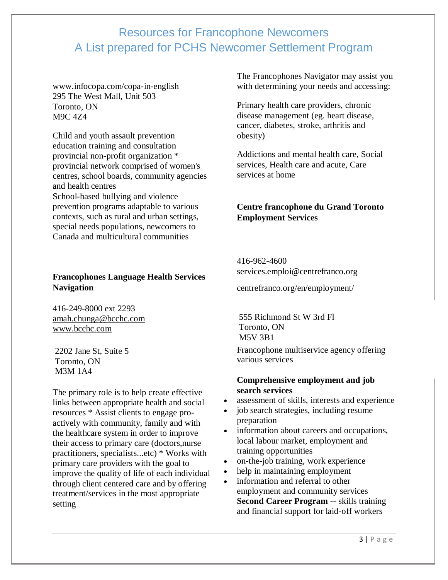[www.infocopa.com/copa-in-english](http://www.infocopa.com/copa-in-english) 295 The West Mall, Unit 503 Toronto, ON M9C 4Z4

Child and youth assault prevention education training and consultation provincial non-profit organization \* provincial network comprised of women's centres, school boards, community agencies and health centres School-based bullying and violence prevention programs adaptable to various contexts, such as rural and urban settings, special needs populations, newcomers to Canada and multicultural communities

#### **Francophones Language Health Services Navigation**

416-249-8000 ext 2293 [amah.chunga@bcchc.com](mailto:amah.chunga@bcchc.com) [www.bcchc.com](http://www.bcchc.com/)

2202 Jane St, Suite 5 Toronto, ON M3M 1A4

The primary role is to help create effective links between appropriate health and social resources \* Assist clients to engage proactively with community, family and with the healthcare system in order to improve their access to primary care (doctors,nurse practitioners, specialists...etc) \* Works with primary care providers with the goal to improve the quality of life of each individual through client centered care and by offering treatment/services in the most appropriate setting

The Francophones Navigator may assist you with determining your needs and accessing:

Primary health care providers, chronic disease management (eg. heart disease, cancer, diabetes, stroke, arthritis and obesity)

Addictions and mental health care, Social services, Health care and acute, Care services at home

### **Centre francophone du Grand Toronto Employment Services**

416-962-4600 [services.emploi@centrefranco.org](mailto:services.emploi@centrefranco.org)

[centrefranco.org/en/employment/](http://centrefranco.org/en/employment/)

555 Richmond St W 3rd Fl Toronto, ON M5V 3B1

Francophone multiservice agency offering various services

#### **Comprehensive employment and job search services**

- assessment of skills, interests and experience
- job search strategies, including resume preparation
- information about careers and occupations, local labour market, employment and training opportunities
- on-the-job training, work experience
- help in maintaining employment
- information and referral to other employment and community services **Second Career Program** -- skills training and financial support for laid-off workers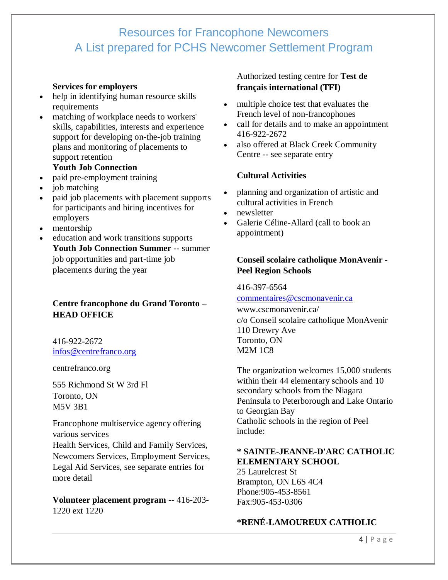#### **Services for employers**

- help in identifying human resource skills requirements
- matching of workplace needs to workers' skills, capabilities, interests and experience support for developing on-the-job training plans and monitoring of placements to support retention

#### **Youth Job Connection**

- paid pre-employment training
- job matching
- paid job placements with placement supports for participants and hiring incentives for employers
- mentorship
- education and work transitions supports **Youth Job Connection Summer** -- summer job opportunities and part-time job placements during the year

## **Centre francophone du Grand Toronto – HEAD OFFICE**

416-922-2672 [infos@centrefranco.org](mailto:infos@centrefranco.org)

[centrefranco.org](http://centrefranco.org/)

555 Richmond St W 3rd Fl Toronto, ON M5V 3B1

Francophone multiservice agency offering various services Health Services, Child and Family Services, Newcomers Services, Employment Services, Legal Aid Services, see separate entries for more detail

**Volunteer placement program** -- 416-203- 1220 ext 1220

### Authorized testing centre for **[Test de](https://www.ets.org/global/canada)  [français international \(TFI\)](https://www.ets.org/global/canada)**

- multiple choice test that evaluates the French level of non-francophones
- call for details and to make an appointment 416-922-2672
- also offered at Black Creek Community Centre -- see separate entry

## **Cultural Activities**

- planning and organization of artistic and cultural activities in French
- newsletter
- Galerie Céline-Allard (call to book an appointment)

## **Conseil scolaire catholique MonAvenir - Peel Region Schools**

416-397-6564

[commentaires@cscmonavenir.ca](mailto:commentaires@cscmonavenir.ca) [www.cscmonavenir.ca/](http://www.cscmonavenir.ca/)

c/o Conseil scolaire catholique MonAvenir 110 Drewry Ave Toronto, ON M2M 1C8

The organization welcomes 15,000 students within their 44 elementary schools and 10 secondary schools from the Niagara Peninsula to Peterborough and Lake Ontario to Georgian Bay Catholic schools in the region of Peel include:

### **\* SAINTE-JEANNE-D'ARC CATHOLIC ELEMENTARY SCHOOL**

25 Laurelcrest St Brampton, ON L6S 4C4 Phone:905-453-8561 Fax:905-453-0306

## **\*RENÉ-LAMOUREUX CATHOLIC**